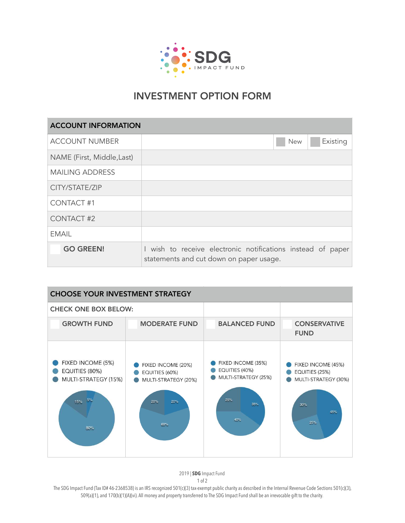

## INVESTMENT OPTION FORM

| <b>ACCOUNT INFORMATION</b> |                                                                                                        |            |          |  |
|----------------------------|--------------------------------------------------------------------------------------------------------|------------|----------|--|
| <b>ACCOUNT NUMBER</b>      |                                                                                                        | <b>New</b> | Existing |  |
| NAME (First, Middle, Last) |                                                                                                        |            |          |  |
| <b>MAILING ADDRESS</b>     |                                                                                                        |            |          |  |
| CITY/STATE/ZIP             |                                                                                                        |            |          |  |
| <b>CONTACT#1</b>           |                                                                                                        |            |          |  |
| <b>CONTACT#2</b>           |                                                                                                        |            |          |  |
| <b>EMAIL</b>               |                                                                                                        |            |          |  |
| <b>GO GREEN!</b>           | I wish to receive electronic notifications instead of paper<br>statements and cut down on paper usage. |            |          |  |

| <b>CHOOSE YOUR INVESTMENT STRATEGY</b>                                          |                                                                                   |                                                                                   |                                                                                   |  |  |  |
|---------------------------------------------------------------------------------|-----------------------------------------------------------------------------------|-----------------------------------------------------------------------------------|-----------------------------------------------------------------------------------|--|--|--|
| <b>CHECK ONE BOX BELOW:</b>                                                     |                                                                                   |                                                                                   |                                                                                   |  |  |  |
| <b>GROWTH FUND</b>                                                              | <b>MODERATE FUND</b>                                                              | <b>BALANCED FUND</b>                                                              | <b>CONSERVATIVE</b><br><b>FUND</b>                                                |  |  |  |
| FIXED INCOME (5%)<br>EQUITIES (80%)<br>MULTI-STRATEGY (15%)<br>5%<br>15%<br>80% | FIXED INCOME (20%)<br>EQUITIES (60%)<br>MULTI-STRATEGY (20%)<br>20%<br>20%<br>60% | FIXED INCOME (35%)<br>EQUITIES (40%)<br>MULTI-STRATEGY (25%)<br>25%<br>35%<br>40% | FIXED INCOME (45%)<br>EQUITIES (25%)<br>MULTI-STRATEGY (30%)<br>30%<br>45%<br>25% |  |  |  |

2019 | **SDG** Impact Fund

1 of 2

The SDG Impact Fund (Tax ID# 46-2368538) is an IRS recognized 501(c)(3) tax-exempt public charity as described in the Internal Revenue Code Sections 501(c)(3), 509(a)(1), and 170(b)(1)(A)(vi). All money and property transferred to The SDG Impact Fund shall be an irrevocable gift to the charity.